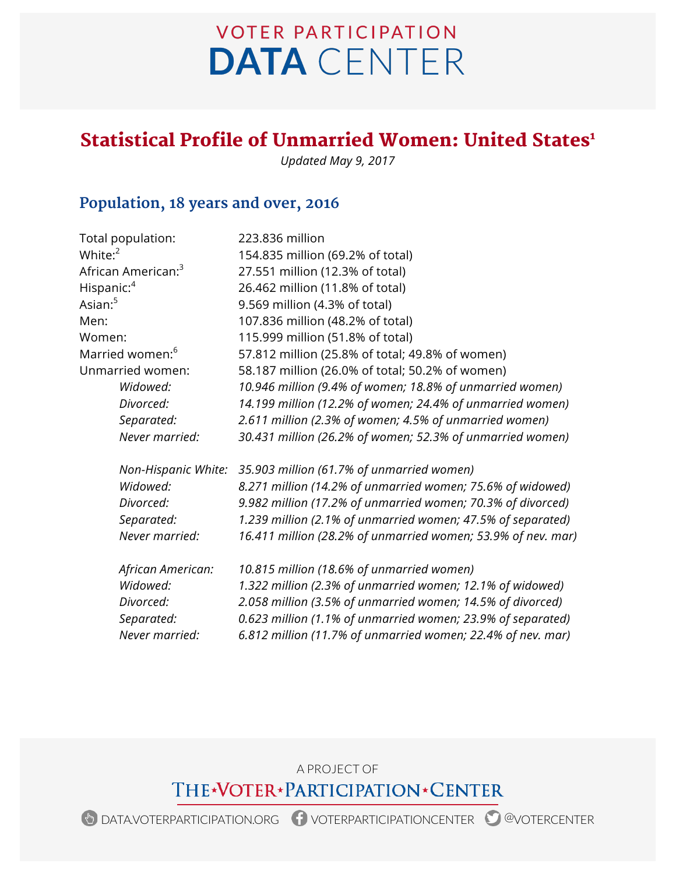# **VOTER PARTICIPATION DATA** CENTER

## Statistical Profile of Unmarried Women: United States<sup>1</sup>

*Updated May 9, 2017*

### **Population, 18 years and over, 2016**

| Total population:              | 223.836 million                                              |
|--------------------------------|--------------------------------------------------------------|
| White: $^2$                    | 154.835 million (69.2% of total)                             |
| African American: <sup>3</sup> | 27.551 million (12.3% of total)                              |
| Hispanic: <sup>4</sup>         | 26.462 million (11.8% of total)                              |
| Asian: <sup>5</sup>            | 9.569 million (4.3% of total)                                |
| Men:                           | 107.836 million (48.2% of total)                             |
| Women:                         | 115.999 million (51.8% of total)                             |
| Married women: <sup>6</sup>    | 57.812 million (25.8% of total; 49.8% of women)              |
| Unmarried women:               | 58.187 million (26.0% of total; 50.2% of women)              |
| Widowed:                       | 10.946 million (9.4% of women; 18.8% of unmarried women)     |
| Divorced:                      | 14.199 million (12.2% of women; 24.4% of unmarried women)    |
| Separated:                     | 2.611 million (2.3% of women; 4.5% of unmarried women)       |
| Never married:                 | 30.431 million (26.2% of women; 52.3% of unmarried women)    |
| Non-Hispanic White:            | 35.903 million (61.7% of unmarried women)                    |
| Widowed:                       | 8.271 million (14.2% of unmarried women; 75.6% of widowed)   |
| Divorced:                      | 9.982 million (17.2% of unmarried women; 70.3% of divorced)  |
| Separated:                     | 1.239 million (2.1% of unmarried women; 47.5% of separated)  |
| Never married:                 | 16.411 million (28.2% of unmarried women; 53.9% of nev. mar) |
| African American:              | 10.815 million (18.6% of unmarried women)                    |
| Widowed:                       | 1.322 million (2.3% of unmarried women; 12.1% of widowed)    |
| Divorced:                      | 2.058 million (3.5% of unmarried women; 14.5% of divorced)   |
| Separated:                     | 0.623 million (1.1% of unmarried women; 23.9% of separated)  |
| Never married:                 | 6.812 million (11.7% of unmarried women; 22.4% of nev. mar)  |

A PROJECT OF THE\*VOTER\*PARTICIPATION\*CENTER

DATA.VOTERPARTICIPATION.ORG VOTERPARTICIPATIONCENTER @VOTERCENTER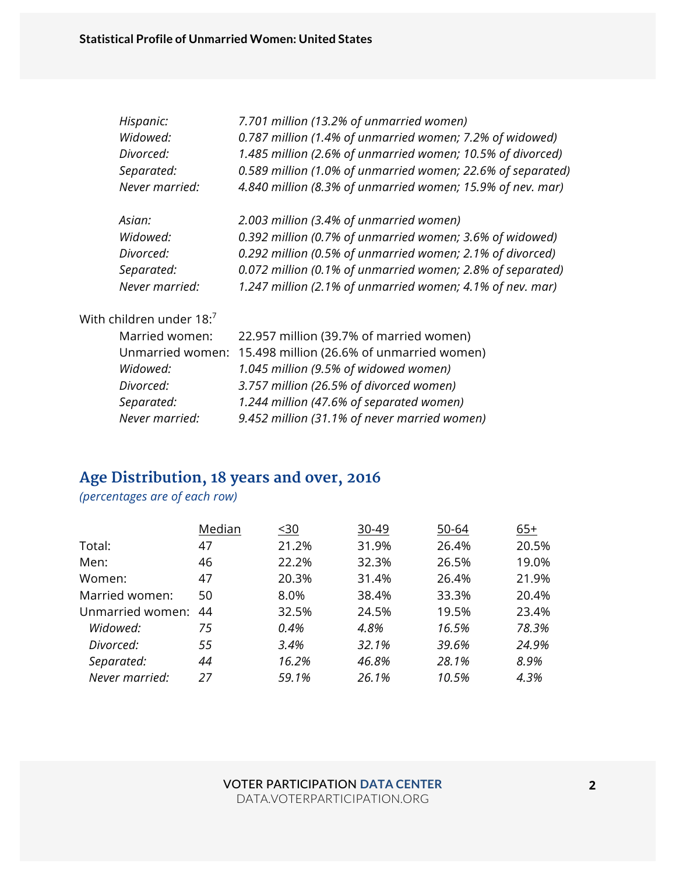| Hispanic:      | 7.701 million (13.2% of unmarried women)                    |
|----------------|-------------------------------------------------------------|
| Widowed:       | 0.787 million (1.4% of unmarried women; 7.2% of widowed)    |
| Divorced:      | 1.485 million (2.6% of unmarried women; 10.5% of divorced)  |
| Separated:     | 0.589 million (1.0% of unmarried women; 22.6% of separated) |
| Never married: | 4.840 million (8.3% of unmarried women; 15.9% of nev. mar)  |
| Asian:         | 2.003 million (3.4% of unmarried women)                     |
| Widowed:       | 0.392 million (0.7% of unmarried women; 3.6% of widowed)    |
| Divorced:      | 0.292 million (0.5% of unmarried women; 2.1% of divorced)   |
| Separated:     | 0.072 million (0.1% of unmarried women; 2.8% of separated)  |
| Never married: | 1.247 million (2.1% of unmarried women; 4.1% of nev. mar)   |
|                |                                                             |

#### With children under 18:7

| Married women: | 22.957 million (39.7% of married women)                    |
|----------------|------------------------------------------------------------|
|                | Unmarried women: 15.498 million (26.6% of unmarried women) |
| Widowed:       | 1.045 million (9.5% of widowed women)                      |
| Divorced:      | 3.757 million (26.5% of divorced women)                    |
| Separated:     | 1.244 million (47.6% of separated women)                   |
| Never married: | 9.452 million (31.1% of never married women)               |

### **Age Distribution, 18 years and over, 2016**

*(percentages are of each row)*

|                  | Median | $30$  | 30-49 | 50-64 | $65+$ |
|------------------|--------|-------|-------|-------|-------|
| Total:           | 47     | 21.2% | 31.9% | 26.4% | 20.5% |
| Men:             | 46     | 22.2% | 32.3% | 26.5% | 19.0% |
| Women:           | 47     | 20.3% | 31.4% | 26.4% | 21.9% |
| Married women:   | 50     | 8.0%  | 38.4% | 33.3% | 20.4% |
| Unmarried women: | 44     | 32.5% | 24.5% | 19.5% | 23.4% |
| Widowed:         | 75     | 0.4%  | 4.8%  | 16.5% | 78.3% |
| Divorced:        | 55     | 3.4%  | 32.1% | 39.6% | 24.9% |
| Separated:       | 44     | 16.2% | 46.8% | 28.1% | 8.9%  |
| Never married:   | 27     | 59.1% | 26.1% | 10.5% | 4.3%  |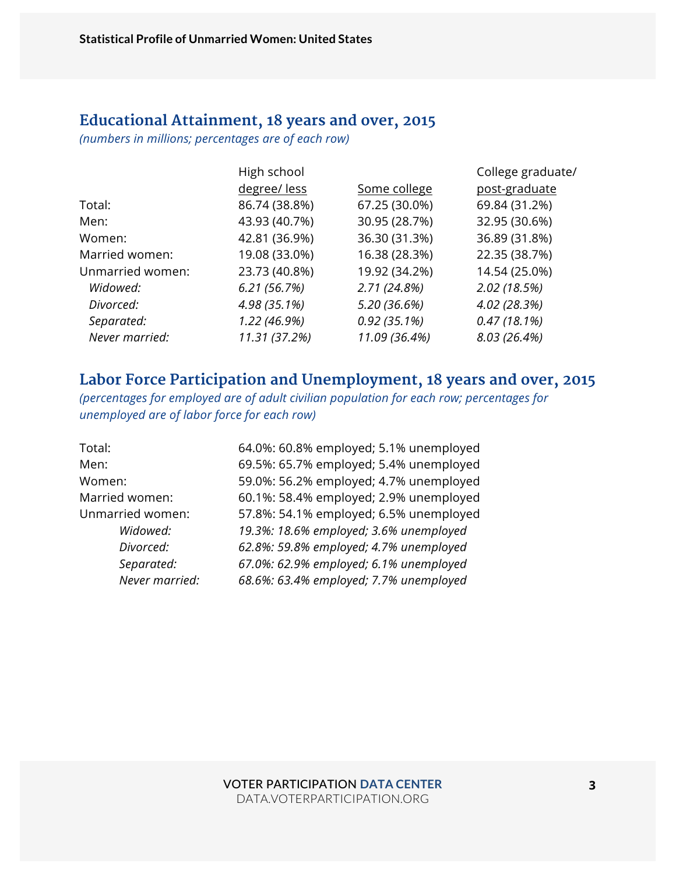#### **Educational Attainment, 18 years and over, 2015**

*(numbers in millions; percentages are of each row)*

|                  | High school   |               | College graduate/ |
|------------------|---------------|---------------|-------------------|
|                  | degree/less   | Some college  | post-graduate     |
| Total:           | 86.74 (38.8%) | 67.25 (30.0%) | 69.84 (31.2%)     |
| Men:             | 43.93 (40.7%) | 30.95 (28.7%) | 32.95 (30.6%)     |
| Women:           | 42.81 (36.9%) | 36.30 (31.3%) | 36.89 (31.8%)     |
| Married women:   | 19.08 (33.0%) | 16.38 (28.3%) | 22.35 (38.7%)     |
| Unmarried women: | 23.73 (40.8%) | 19.92 (34.2%) | 14.54 (25.0%)     |
| Widowed:         | 6.21(56.7%)   | 2.71(24.8%)   | 2.02(18.5%)       |
| Divorced:        | 4.98 (35.1%)  | 5.20 (36.6%)  | 4.02 (28.3%)      |
| Separated:       | 1.22 (46.9%)  | 0.92(35.1%)   | 0.47(18.1%)       |
| Never married:   | 11.31 (37.2%) | 11.09 (36.4%) | 8.03 (26.4%)      |
|                  |               |               |                   |

#### **Labor Force Participation and Unemployment, 18 years and over, 2015**

*(percentages for employed are of adult civilian population for each row; percentages for unemployed are of labor force for each row)*

| Total:           | 64.0%: 60.8% employed; 5.1% unemployed |
|------------------|----------------------------------------|
| Men:             | 69.5%: 65.7% employed; 5.4% unemployed |
| Women:           | 59.0%: 56.2% employed; 4.7% unemployed |
| Married women:   | 60.1%: 58.4% employed; 2.9% unemployed |
| Unmarried women: | 57.8%: 54.1% employed; 6.5% unemployed |
| Widowed:         | 19.3%: 18.6% employed; 3.6% unemployed |
| Divorced:        | 62.8%: 59.8% employed; 4.7% unemployed |
| Separated:       | 67.0%: 62.9% employed; 6.1% unemployed |
| Never married:   | 68.6%: 63.4% employed; 7.7% unemployed |
|                  |                                        |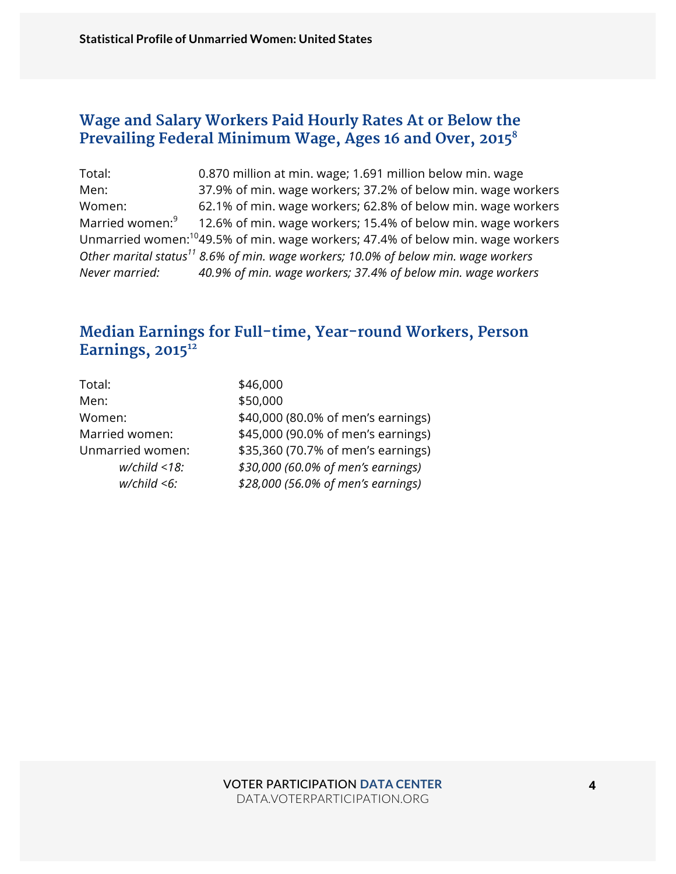#### **Wage and Salary Workers Paid Hourly Rates At or Below the Prevailing Federal Minimum Wage, Ages 16 and Over, 20158**

Total: 0.870 million at min. wage; 1.691 million below min. wage Men: 37.9% of min. wage workers; 37.2% of below min. wage workers Women: 62.1% of min. wage workers; 62.8% of below min. wage workers Married women: $9$  12.6% of min. wage workers; 15.4% of below min. wage workers Unmarried women:1049.5% of min. wage workers; 47.4% of below min. wage workers *Other marital status11 8.6% of min. wage workers; 10.0% of below min. wage workers Never married: 40.9% of min. wage workers; 37.4% of below min. wage workers*

#### **Median Earnings for Full-time, Year-round Workers, Person**  Earnings, 2015<sup>12</sup>

| \$46,000                           |
|------------------------------------|
| \$50,000                           |
| \$40,000 (80.0% of men's earnings) |
| \$45,000 (90.0% of men's earnings) |
| \$35,360 (70.7% of men's earnings) |
| \$30,000 (60.0% of men's earnings) |
| \$28,000 (56.0% of men's earnings) |
|                                    |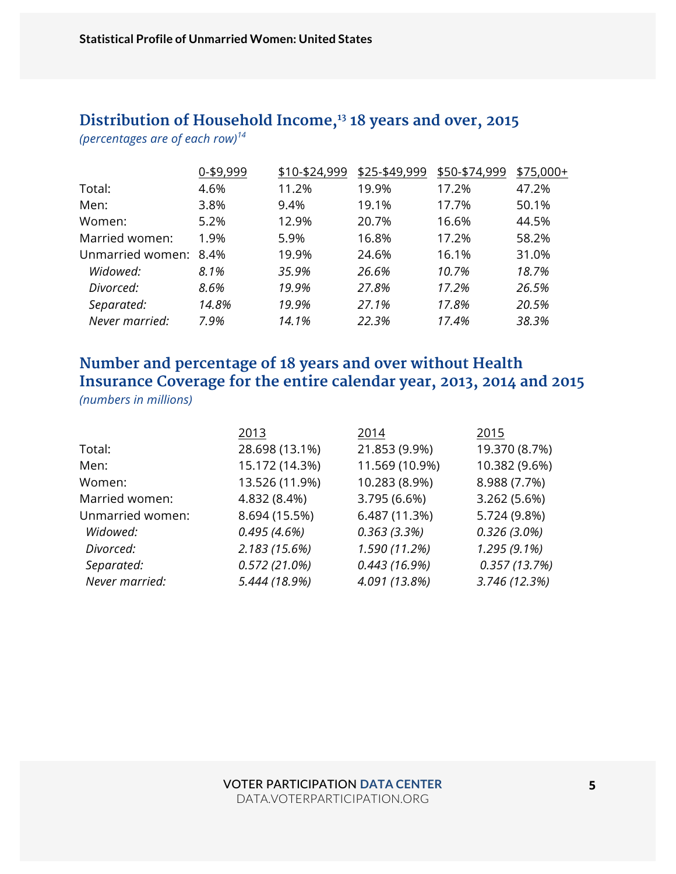# **Distribution of Household Income,13 18 years and over, 2015**

*(percentages are of each row)<sup>14</sup>*

|                  | 0-\$9,999 | \$10-\$24,999 | \$25-\$49,999 | \$50-\$74,999 | \$75,000+ |
|------------------|-----------|---------------|---------------|---------------|-----------|
| Total:           | 4.6%      | 11.2%         | 19.9%         | 17.2%         | 47.2%     |
| Men:             | 3.8%      | 9.4%          | 19.1%         | 17.7%         | 50.1%     |
| Women:           | 5.2%      | 12.9%         | 20.7%         | 16.6%         | 44.5%     |
| Married women:   | 1.9%      | 5.9%          | 16.8%         | 17.2%         | 58.2%     |
| Unmarried women: | 8.4%      | 19.9%         | 24.6%         | 16.1%         | 31.0%     |
| Widowed:         | 8.1%      | 35.9%         | 26.6%         | 10.7%         | 18.7%     |
| Divorced:        | 8.6%      | 19.9%         | 27.8%         | 17.2%         | 26.5%     |
| Separated:       | 14.8%     | 19.9%         | 27.1%         | 17.8%         | 20.5%     |
| Never married:   | 7.9%      | 14.1%         | 22.3%         | 17.4%         | 38.3%     |
|                  |           |               |               |               |           |

#### **Number and percentage of 18 years and over without Health Insurance Coverage for the entire calendar year, 2013, 2014 and 2015**  *(numbers in millions)*

|                  | 2013           | 2014           | 2015           |
|------------------|----------------|----------------|----------------|
| Total:           | 28.698 (13.1%) | 21.853 (9.9%)  | 19.370 (8.7%)  |
| Men:             | 15.172 (14.3%) | 11.569 (10.9%) | 10.382 (9.6%)  |
| Women:           | 13.526 (11.9%) | 10.283 (8.9%)  | 8.988 (7.7%)   |
| Married women:   | 4.832 (8.4%)   | 3.795 (6.6%)   | 3.262 (5.6%)   |
| Unmarried women: | 8.694 (15.5%)  | 6.487 (11.3%)  | 5.724 (9.8%)   |
| Widowed:         | 0.495(4.6%)    | 0.363(3.3%)    | $0.326(3.0\%)$ |
| Divorced:        | 2.183(15.6%)   | 1.590 (11.2%)  | $1.295(9.1\%)$ |
| Separated:       | 0.572(21.0%)   | 0.443(16.9%)   | 0.357(13.7%)   |
| Never married:   | 5.444 (18.9%)  | 4.091 (13.8%)  | 3.746 (12.3%)  |
|                  |                |                |                |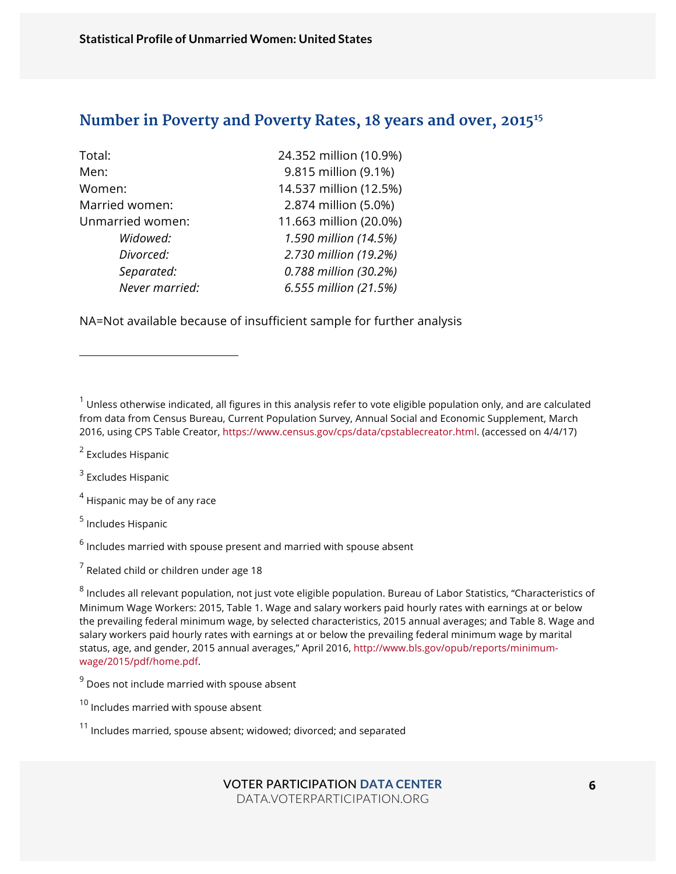#### **Number in Poverty and Poverty Rates, 18 years and over, 201515**

| 24.352 million (10.9%) |
|------------------------|
| 9.815 million (9.1%)   |
| 14.537 million (12.5%) |
| 2.874 million (5.0%)   |
| 11.663 million (20.0%) |
| 1.590 million (14.5%)  |
| 2.730 million (19.2%)  |
| 0.788 million (30.2%)  |
| 6.555 million (21.5%)  |
|                        |

NA=Not available because of insufficient sample for further analysis

 $1$  Unless otherwise indicated, all figures in this analysis refer to vote eligible population only, and are calculated from data from Census Bureau, Current Population Survey, Annual Social and Economic Supplement, March 2016, using CPS Table Creator, https://www.census.gov/cps/data/cpstablecreator.html. (accessed on 4/4/17)

<sup>2</sup> Excludes Hispanic

l

 $3$  Excludes Hispanic

 $<sup>4</sup>$  Hispanic may be of any race</sup>

<sup>5</sup> Includes Hispanic

 $6$  Includes married with spouse present and married with spouse absent

 $<sup>7</sup>$  Related child or children under age 18</sup>

<sup>8</sup> Includes all relevant population, not just vote eligible population. Bureau of Labor Statistics, "Characteristics of Minimum Wage Workers: 2015, Table 1. Wage and salary workers paid hourly rates with earnings at or below the prevailing federal minimum wage, by selected characteristics, 2015 annual averages; and Table 8. Wage and salary workers paid hourly rates with earnings at or below the prevailing federal minimum wage by marital status, age, and gender, 2015 annual averages," April 2016, http://www.bls.gov/opub/reports/minimumwage/2015/pdf/home.pdf.

 $9$  Does not include married with spouse absent

<sup>10</sup> Includes married with spouse absent

 $11$  Includes married, spouse absent; widowed; divorced; and separated